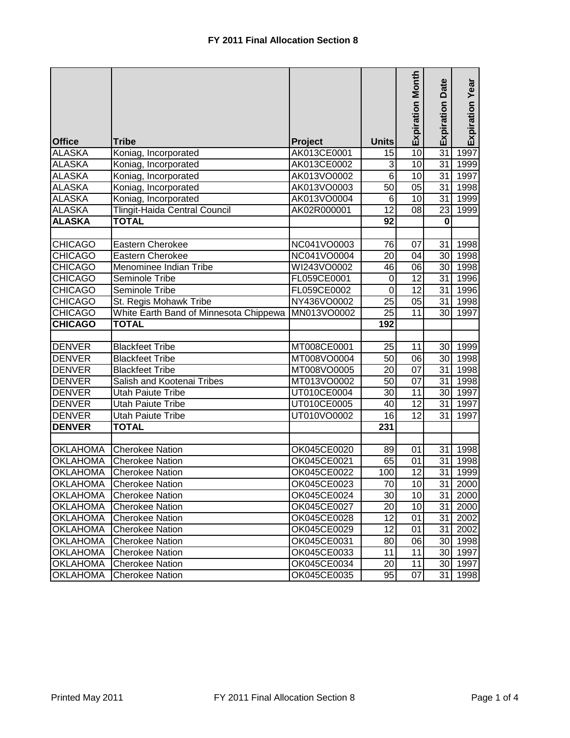| <b>Office</b>   | <b>Tribe</b>                           | Project     | <b>Units</b>     | <b>Expiration Month</b> | <b>Expiration Date</b> | Expiration Year        |
|-----------------|----------------------------------------|-------------|------------------|-------------------------|------------------------|------------------------|
| <b>ALASKA</b>   | Koniag, Incorporated                   | AK013CE0001 | 15               | 10                      | 31                     | 1997                   |
| <b>ALASKA</b>   | Koniag, Incorporated                   | AK013CE0002 | 3                | $\overline{10}$         | $\overline{31}$        | 1999                   |
| <b>ALASKA</b>   | Koniag, Incorporated                   | AK013VO0002 | 6                | 10                      | 31                     | 1997                   |
| <b>ALASKA</b>   | Koniag, Incorporated                   | AK013VO0003 | 50               | 05                      | 31                     | 1998                   |
| <b>ALASKA</b>   | Koniag, Incorporated                   | AK013VO0004 | $\overline{6}$   | 10                      | $\overline{31}$        | 1999                   |
| <b>ALASKA</b>   | Tlingit-Haida Central Council          | AK02R000001 | $\overline{12}$  | 08                      | 23                     | 1999                   |
| <b>ALASKA</b>   | <b>TOTAL</b>                           |             | $\overline{92}$  |                         | $\bf{0}$               |                        |
|                 |                                        |             |                  |                         |                        |                        |
| <b>CHICAGO</b>  | Eastern Cherokee                       | NC041VO0003 | 76               | 07                      | 31                     | 1998                   |
| <b>CHICAGO</b>  | Eastern Cherokee                       | NC041VO0004 | 20               | 04                      | 30                     | 1998                   |
| <b>CHICAGO</b>  | Menominee Indian Tribe                 | WI243VO0002 | 46               | 06                      | $30$                   | 1998                   |
| <b>CHICAGO</b>  | Seminole Tribe                         | FL059CE0001 | $\boldsymbol{0}$ | $\overline{12}$         | 31                     | 1996                   |
| <b>CHICAGO</b>  | Seminole Tribe                         | FL059CE0002 | $\overline{0}$   | $\overline{12}$         | 31                     | 1996                   |
| <b>CHICAGO</b>  | St. Regis Mohawk Tribe                 | NY436VO0002 | 25               | 05                      | 31                     | 1998                   |
| <b>CHICAGO</b>  | White Earth Band of Minnesota Chippewa | MN013VO0002 | $\overline{25}$  | $\overline{11}$         | 30                     | 1997                   |
| <b>CHICAGO</b>  | <b>TOTAL</b>                           |             | 192              |                         |                        |                        |
|                 |                                        |             |                  |                         |                        |                        |
| <b>DENVER</b>   | <b>Blackfeet Tribe</b>                 | MT008CE0001 | 25               | 11                      | 30                     | 1999                   |
| <b>DENVER</b>   | <b>Blackfeet Tribe</b>                 | MT008VO0004 | $\overline{50}$  | $\overline{06}$         | 30                     | 1998                   |
| <b>DENVER</b>   | <b>Blackfeet Tribe</b>                 | MT008VO0005 | 20               | $\overline{07}$         | 31                     | 1998                   |
| <b>DENVER</b>   | Salish and Kootenai Tribes             | MT013VO0002 | 50               | 07                      | 31                     | 1998                   |
| <b>DENVER</b>   | <b>Utah Paiute Tribe</b>               | UT010CE0004 | 30               | 11                      | 30                     | 1997                   |
| <b>DENVER</b>   | <b>Utah Paiute Tribe</b>               | UT010CE0005 | 40               | 12                      | 31                     | 1997                   |
| <b>DENVER</b>   | <b>Utah Paiute Tribe</b>               | UT010VO0002 | $\overline{16}$  | $\overline{12}$         | 31                     | 1997                   |
| <b>DENVER</b>   | <b>TOTAL</b>                           |             | 231              |                         |                        |                        |
|                 |                                        |             |                  |                         |                        |                        |
| <b>OKLAHOMA</b> | <b>Cherokee Nation</b>                 | OK045CE0020 | 89               | 01                      | 31                     | 1998                   |
| <b>OKLAHOMA</b> | <b>Cherokee Nation</b>                 | OK045CE0021 | 65               | 01                      | 31                     | 1998                   |
| <b>OKLAHOMA</b> | <b>Cherokee Nation</b>                 | OK045CE0022 | 100              | $\overline{12}$         | 31                     | 1999                   |
| <b>OKLAHOMA</b> | <b>Cherokee Nation</b>                 | OK045CE0023 | 70               | 10                      |                        | 31 2000                |
| <b>OKLAHOMA</b> | <b>Cherokee Nation</b>                 | OK045CE0024 | 30               | 10 <sup>1</sup>         |                        | 31 2000                |
| <b>OKLAHOMA</b> | <b>Cherokee Nation</b>                 | OK045CE0027 | 20               | 10 <sup>1</sup>         |                        | $\overline{31}$   2000 |
| <b>OKLAHOMA</b> | <b>Cherokee Nation</b>                 | OK045CE0028 | 12               | 01                      |                        | $31$ 2002              |
| <b>OKLAHOMA</b> | <b>Cherokee Nation</b>                 | OK045CE0029 | 12               | 01                      |                        | 31 2002                |
| <b>OKLAHOMA</b> | <b>Cherokee Nation</b>                 | OK045CE0031 | 80               | 06                      |                        | 30 1998                |
| <b>OKLAHOMA</b> | <b>Cherokee Nation</b>                 | OK045CE0033 | 11               | 11                      |                        | 30 1997                |
| <b>OKLAHOMA</b> | <b>Cherokee Nation</b>                 | OK045CE0034 | 20               | 11                      |                        | 30 1997                |
| <b>OKLAHOMA</b> | <b>Cherokee Nation</b>                 | OK045CE0035 | 95               | 07                      | 31                     | 1998                   |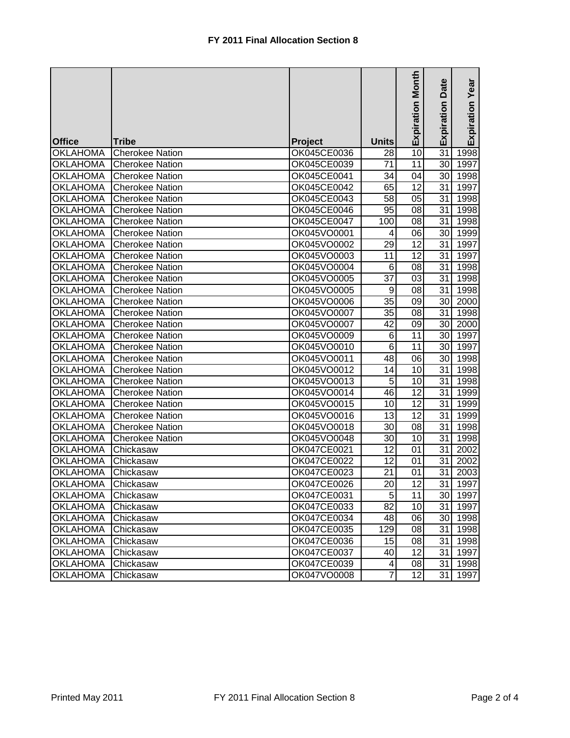|                 |                        |             |                 | <b>Expiration Month</b> | Date<br>Expiration | Expiration Year |
|-----------------|------------------------|-------------|-----------------|-------------------------|--------------------|-----------------|
| <b>Office</b>   | <b>Tribe</b>           | Project     | <b>Units</b>    |                         |                    |                 |
| <b>OKLAHOMA</b> | <b>Cherokee Nation</b> | OK045CE0036 | 28              | 10                      | $\overline{31}$    | 1998            |
| <b>OKLAHOMA</b> | <b>Cherokee Nation</b> | OK045CE0039 | 71              | 11                      | 30 <sub>l</sub>    | 1997            |
| <b>OKLAHOMA</b> | <b>Cherokee Nation</b> | OK045CE0041 | 34              | 04                      | 30 <sup>1</sup>    | 1998            |
| <b>OKLAHOMA</b> | <b>Cherokee Nation</b> | OK045CE0042 | 65              | 12                      | 31                 | 1997            |
| <b>OKLAHOMA</b> | <b>Cherokee Nation</b> | OK045CE0043 | 58              | 05                      | 31                 | 1998            |
| <b>OKLAHOMA</b> | <b>Cherokee Nation</b> | OK045CE0046 | 95              | 08                      | 31                 | 1998            |
| <b>OKLAHOMA</b> | <b>Cherokee Nation</b> | OK045CE0047 | 100             | 08                      | 31                 | 1998            |
| <b>OKLAHOMA</b> | <b>Cherokee Nation</b> | OK045VO0001 | 4               | 06                      | 30 <sup>1</sup>    | 1999            |
| <b>OKLAHOMA</b> | <b>Cherokee Nation</b> | OK045VO0002 | 29              | 12                      | 31                 | 1997            |
| <b>OKLAHOMA</b> | <b>Cherokee Nation</b> | OK045VO0003 | 11              | $\overline{12}$         | 31                 | 1997            |
| <b>OKLAHOMA</b> | <b>Cherokee Nation</b> | OK045VO0004 | 6               | 08                      | 31                 | 1998            |
| <b>OKLAHOMA</b> | <b>Cherokee Nation</b> | OK045VO0005 | 37              | 03                      | 31                 | 1998            |
| <b>OKLAHOMA</b> | <b>Cherokee Nation</b> | OK045VO0005 | $\overline{9}$  | 08                      | 31                 | 1998            |
| <b>OKLAHOMA</b> | <b>Cherokee Nation</b> | OK045VO0006 | 35              | 09                      | 30 <sub>1</sub>    | 2000            |
| <b>OKLAHOMA</b> | <b>Cherokee Nation</b> | OK045VO0007 | $\overline{35}$ | 08                      | 31                 | 1998            |
| <b>OKLAHOMA</b> | <b>Cherokee Nation</b> | OK045VO0007 | $\overline{42}$ | 09                      | 30                 | 2000            |
| <b>OKLAHOMA</b> | <b>Cherokee Nation</b> | OK045VO0009 | 6               | 11                      | 30                 | 1997            |
| <b>OKLAHOMA</b> | <b>Cherokee Nation</b> | OK045VO0010 | $\overline{6}$  | 11                      | 30                 | 1997            |
| <b>OKLAHOMA</b> | <b>Cherokee Nation</b> | OK045VO0011 | 48              | 8                       | 30 <sub>1</sub>    | 1998            |
| <b>OKLAHOMA</b> | <b>Cherokee Nation</b> | OK045VO0012 | 14              | 10                      | 31                 | 1998            |
| <b>OKLAHOMA</b> | <b>Cherokee Nation</b> | OK045VO0013 | $\overline{5}$  | $\overline{10}$         | 31                 | 1998            |
| <b>OKLAHOMA</b> | <b>Cherokee Nation</b> | OK045VO0014 | 46              | 12                      | 31                 | 1999            |
| <b>OKLAHOMA</b> | <b>Cherokee Nation</b> | OK045VO0015 | 10              | 12                      | 31                 | 1999            |
| <b>OKLAHOMA</b> | <b>Cherokee Nation</b> | OK045VO0016 | 13              | 12                      | 31                 | 1999            |
| <b>OKLAHOMA</b> | <b>Cherokee Nation</b> | OK045VO0018 | 30              | 08                      | 31                 | 1998            |
| <b>OKLAHOMA</b> | Cherokee Nation        | OK045VO0048 | 30              | 10                      | 31                 | 1998            |
| <b>OKLAHOMA</b> | Chickasaw              | OK047CE0021 | 12              | 01                      | 31                 | 2002            |
| <b>OKLAHOMA</b> | Chickasaw              | OK047CE0022 | 12              | 01                      | 31                 | 2002            |
| <b>OKLAHOMA</b> | Chickasaw              | OK047CE0023 | 21              | 01                      | 31                 | 2003            |
| <b>OKLAHOMA</b> | Chickasaw              | OK047CE0026 | 20              | 12                      | $\overline{31}$    | 1997            |
| <b>OKLAHOMA</b> | Chickasaw              | OK047CE0031 | 5               | 11                      |                    | 30 1997         |
| <b>OKLAHOMA</b> | Chickasaw              | OK047CE0033 | 82              | 10                      | 31                 | 1997            |
| <b>OKLAHOMA</b> | Chickasaw              | OK047CE0034 | 48              | 06                      |                    | 30 1998         |
| <b>OKLAHOMA</b> | Chickasaw              | OK047CE0035 | 129             | 08                      | 31                 | 1998            |
| <b>OKLAHOMA</b> | Chickasaw              | OK047CE0036 | 15              | 08                      | 31                 | 1998            |
| <b>OKLAHOMA</b> | Chickasaw              | OK047CE0037 | 40              | 12                      | 31                 | 1997            |
| <b>OKLAHOMA</b> | Chickasaw              | OK047CE0039 | 4               | 08                      | 31                 | 1998            |
| <b>OKLAHOMA</b> | Chickasaw              | OK047VO0008 | 7               | 12                      | 31                 | 1997            |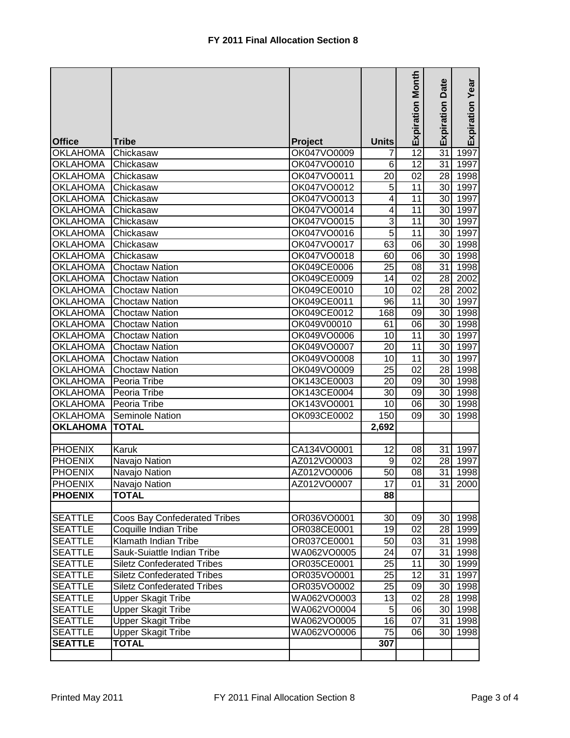|                 |                                   |                |                 | <b>Expiration Month</b> | Date<br>Expiration | Expiration Year |
|-----------------|-----------------------------------|----------------|-----------------|-------------------------|--------------------|-----------------|
| <b>Office</b>   | <b>Tribe</b>                      | <b>Project</b> | <b>Units</b>    |                         |                    |                 |
| <b>OKLAHOMA</b> | Chickasaw                         | OK047VO0009    | 7               | $\overline{12}$         | $\overline{31}$    | 1997            |
| <b>OKLAHOMA</b> | Chickasaw                         | OK047VO0010    | 6               | 12                      | 31                 | 1997            |
| <b>OKLAHOMA</b> | Chickasaw                         | OK047VO0011    | 20              | 02                      | 28                 | 1998            |
| <b>OKLAHOMA</b> | Chickasaw                         | OK047VO0012    | $\overline{5}$  | 11                      | 30 <sub>l</sub>    | 1997            |
| <b>OKLAHOMA</b> | Chickasaw                         | OK047VO0013    | 4               | 11                      | 30 <sub>l</sub>    | 1997            |
| <b>OKLAHOMA</b> | Chickasaw                         | OK047VO0014    | 4               | 11                      | 30 <sub>l</sub>    | 1997            |
| <b>OKLAHOMA</b> | Chickasaw                         | OK047VO0015    | 3               | $\overline{11}$         | 30 <sub>l</sub>    | 1997            |
| <b>OKLAHOMA</b> | Chickasaw                         | OK047VO0016    | $\overline{5}$  | 11                      | 30 <sub>0</sub>    | 1997            |
| <b>OKLAHOMA</b> | Chickasaw                         | OK047VO0017    | 63              | 06                      | 30                 | 1998            |
| <b>OKLAHOMA</b> | Chickasaw                         | OK047VO0018    | 60              | 06                      | 30                 | 1998            |
| <b>OKLAHOMA</b> | <b>Choctaw Nation</b>             | OK049CE0006    | 25              | 08                      | 31                 | 1998            |
| <b>OKLAHOMA</b> | <b>Choctaw Nation</b>             | OK049CE0009    | 14              | 02                      | 28                 | 2002            |
| <b>OKLAHOMA</b> | <b>Choctaw Nation</b>             | OK049CE0010    | 10              | $\overline{02}$         | 28                 | 2002            |
| <b>OKLAHOMA</b> | <b>Choctaw Nation</b>             | OK049CE0011    | 96              | 11                      | 30 <sub>0</sub>    | 1997            |
| <b>OKLAHOMA</b> | <b>Choctaw Nation</b>             | OK049CE0012    | 168             | 09                      | 30                 | 1998            |
| <b>OKLAHOMA</b> | <b>Choctaw Nation</b>             | OK049V00010    | 61              | 06                      | 30                 | 1998            |
| <b>OKLAHOMA</b> | <b>Choctaw Nation</b>             | OK049VO0006    | 10              | 11                      | 30                 | 1997            |
| <b>OKLAHOMA</b> | <b>Choctaw Nation</b>             | OK049VO0007    | 20              | 11                      | 30                 | 1997            |
| <b>OKLAHOMA</b> | <b>Choctaw Nation</b>             | OK049VO0008    | 10              | $\overline{11}$         | 30                 | 1997            |
| <b>OKLAHOMA</b> | <b>Choctaw Nation</b>             | OK049VO0009    | 25              | 02                      | 28                 | 1998            |
| <b>OKLAHOMA</b> | Peoria Tribe                      | OK143CE0003    | 20              | 09                      | 30                 | 1998            |
| <b>OKLAHOMA</b> | Peoria Tribe                      | OK143CE0004    | 30              | 09                      | 30                 | 1998            |
| <b>OKLAHOMA</b> | Peoria Tribe                      | OK143VO0001    | 10              | 06                      | 30                 | 1998            |
| <b>OKLAHOMA</b> | Seminole Nation                   | OK093CE0002    | 150             | 09                      | 30 <sub>l</sub>    | 1998            |
| <b>OKLAHOMA</b> | <b>TOTAL</b>                      |                | 2,692           |                         |                    |                 |
|                 |                                   |                |                 |                         |                    |                 |
| PHOENIX         | Karuk                             | CA134VO0001    | 12              | 08                      | 31                 | 1997            |
| <b>PHOENIX</b>  | Navajo Nation                     | AZ012VO0003    | 9               | 02                      | 28                 | 1997            |
| <b>PHOENIX</b>  | Navajo Nation                     | AZ012VO0006    | 50              | 08                      | 31                 | 1998            |
| <b>PHOENIX</b>  | Navajo Nation                     | AZ012VO0007    | 17              | 01                      | 31                 | 2000            |
| <b>PHOENIX</b>  | <b>TOTAL</b>                      |                | 88              |                         |                    |                 |
|                 |                                   |                |                 |                         |                    |                 |
| <b>SEATTLE</b>  | Coos Bay Confederated Tribes      | OR036VO0001    | 30              | 09                      |                    | 30 1998         |
| <b>SEATTLE</b>  | Coquille Indian Tribe             | OR038CE0001    | 19              | 02                      |                    | 28 1999         |
| <b>SEATTLE</b>  | Klamath Indian Tribe              | OR037CE0001    | 50              | 03                      |                    | 31 1998         |
| <b>SEATTLE</b>  | Sauk-Suiattle Indian Tribe        | WA062VO0005    | 24              | 07                      | 31                 | 1998            |
| <b>SEATTLE</b>  | <b>Siletz Confederated Tribes</b> | OR035CE0001    | 25              | 11                      |                    | 30 1999         |
| <b>SEATTLE</b>  | <b>Siletz Confederated Tribes</b> | OR035VO0001    | $\overline{25}$ | 12                      |                    | 31 1997         |
| <b>SEATTLE</b>  | <b>Siletz Confederated Tribes</b> | OR035VO0002    | $\overline{25}$ | 09                      |                    | 30 1998         |
| <b>SEATTLE</b>  | <b>Upper Skagit Tribe</b>         | WA062VO0003    | 13              | 02                      |                    | 28 1998         |
| <b>SEATTLE</b>  | <b>Upper Skagit Tribe</b>         | WA062VO0004    | $\overline{5}$  | 06                      |                    | 30 1998         |
| <b>SEATTLE</b>  | <b>Upper Skagit Tribe</b>         | WA062VO0005    | $\overline{16}$ | 07                      | 31                 | 1998            |
| <b>SEATTLE</b>  | <b>Upper Skagit Tribe</b>         | WA062VO0006    | 75              | 06                      | 30 <sup>1</sup>    | 1998            |
| <b>SEATTLE</b>  | <b>TOTAL</b>                      |                | 307             |                         |                    |                 |
|                 |                                   |                |                 |                         |                    |                 |